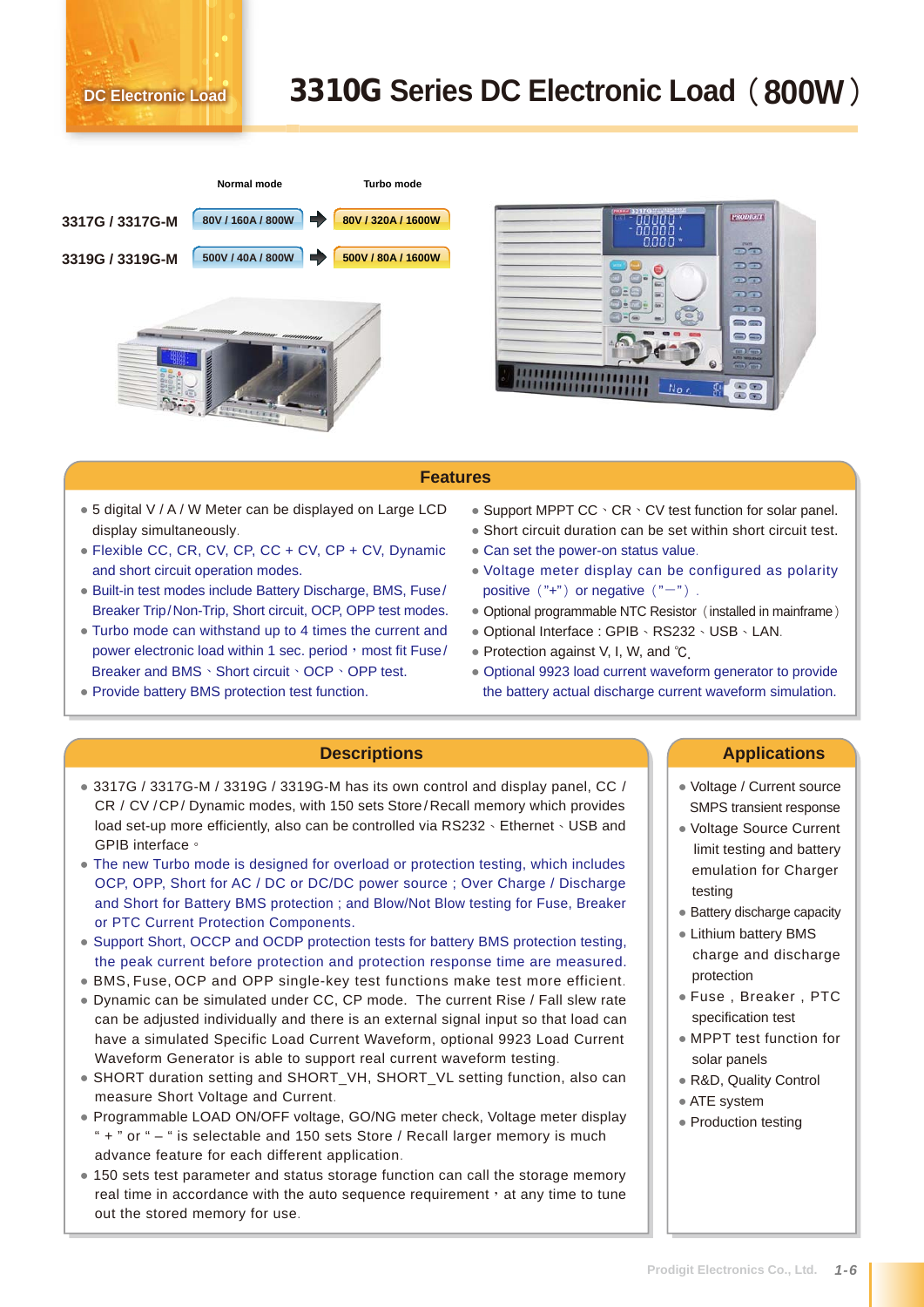## **DC Electronic Load** 3310G **Series DC Electronic Load**(**800W**)





## **Features**

- 5 digital V / A / W Meter can be displayed on Large LCD display simultaneously.
- Flexible CC, CR, CV, CP, CC + CV, CP + CV, Dynamic and short circuit operation modes.
- Built-in test modes include Battery Discharge, BMS, Fuse/ Breaker Trip/Non-Trip, Short circuit, OCP, OPP test modes.
- Turbo mode can withstand up to 4 times the current and power electronic load within 1 sec. period, most fit Fuse/ Breaker and BMS、Short circuit、OCP、OPP test.
- Provide battery BMS protection test function.
- Support MPPT  $CC \cdot CR \cdot CV$  test function for solar panel.
- Short circuit duration can be set within short circuit test.
- Can set the power-on status value.
- Voltage meter display can be configured as polarity positive  $("+")$  or negative  $("-")$ .
- Optional programmable NTC Resistor (installed in mainframe)
- Optional Interface : GPIB、RS232、USB、LAN.
- Protection against V, I, W, and ℃.
- Optional 9923 load current waveform generator to provide the battery actual discharge current waveform simulation.

- 3317G / 3317G-M / 3319G / 3319G-M has its own control and display panel, CC / CR / CV / CP / Dynamic modes, with 150 sets Store / Recall memory which provides load set-up more efficiently, also can be controlled via RS232、Ethernet、USB and GPIB interface。
- The new Turbo mode is designed for overload or protection testing, which includes OCP, OPP, Short for AC / DC or DC/DC power source ; Over Charge / Discharge and Short for Battery BMS protection ; and Blow/Not Blow testing for Fuse, Breaker or PTC Current Protection Components.
- Support Short, OCCP and OCDP protection tests for battery BMS protection testing, the peak current before protection and protection response time are measured.
- BMS, Fuse, OCP and OPP single-key test functions make test more efficient.
- Dynamic can be simulated under CC, CP mode. The current Rise / Fall slew rate can be adjusted individually and there is an external signal input so that load can have a simulated Specific Load Current Waveform, optional 9923 Load Current Waveform Generator is able to support real current waveform testing.
- SHORT duration setting and SHORT\_VH, SHORT\_VL setting function, also can measure Short Voltage and Current.
- Programmable LOAD ON/OFF voltage, GO/NG meter check, Voltage meter display " + " or " – " is selectable and 150 sets Store / Recall larger memory is much advance feature for each different application.
- 150 sets test parameter and status storage function can call the storage memory real time in accordance with the auto sequence requirement  $\cdot$  at any time to tune out the stored memory for use.

## **Descriptions Applications**

- Voltage / Current source SMPS transient response
- Voltage Source Current limit testing and battery emulation for Charger testing
- Battery discharge capacity
- Lithium battery BMS charge and discharge protection
- Fuse , Breaker , PTC specification test
- MPPT test function for solar panels
- R&D, Quality Control
- ATE system
- Production testing